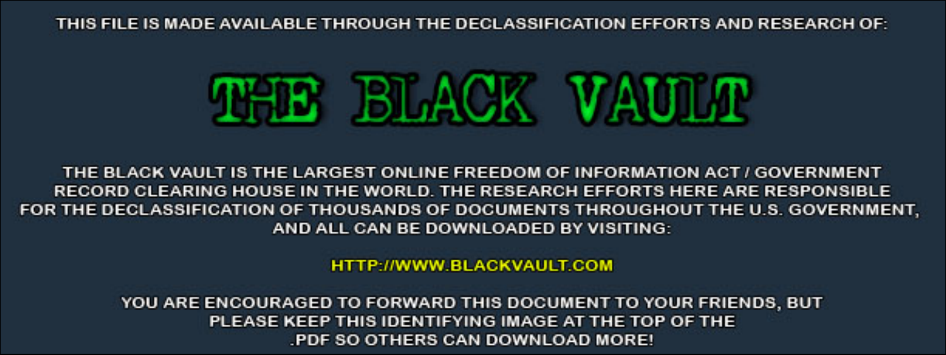THIS FILE IS MADE AVAILABLE THROUGH THE DECLASSIFICATION EFFORTS AND RESEARCH OF:



THE BLACK VAULT IS THE LARGEST ONLINE FREEDOM OF INFORMATION ACT / GOVERNMENT RECORD CLEARING HOUSE IN THE WORLD. THE RESEARCH EFFORTS HERE ARE RESPONSIBLE FOR THE DECLASSIFICATION OF THOUSANDS OF DOCUMENTS THROUGHOUT THE U.S. GOVERNMENT, AND ALL CAN BE DOWNLOADED BY VISITING:

**HTTP://WWW.BLACKVAULT.COM** 

YOU ARE ENCOURAGED TO FORWARD THIS DOCUMENT TO YOUR FRIENDS, BUT PLEASE KEEP THIS IDENTIFYING IMAGE AT THE TOP OF THE PDF SO OTHERS CAN DOWNLOAD MORE!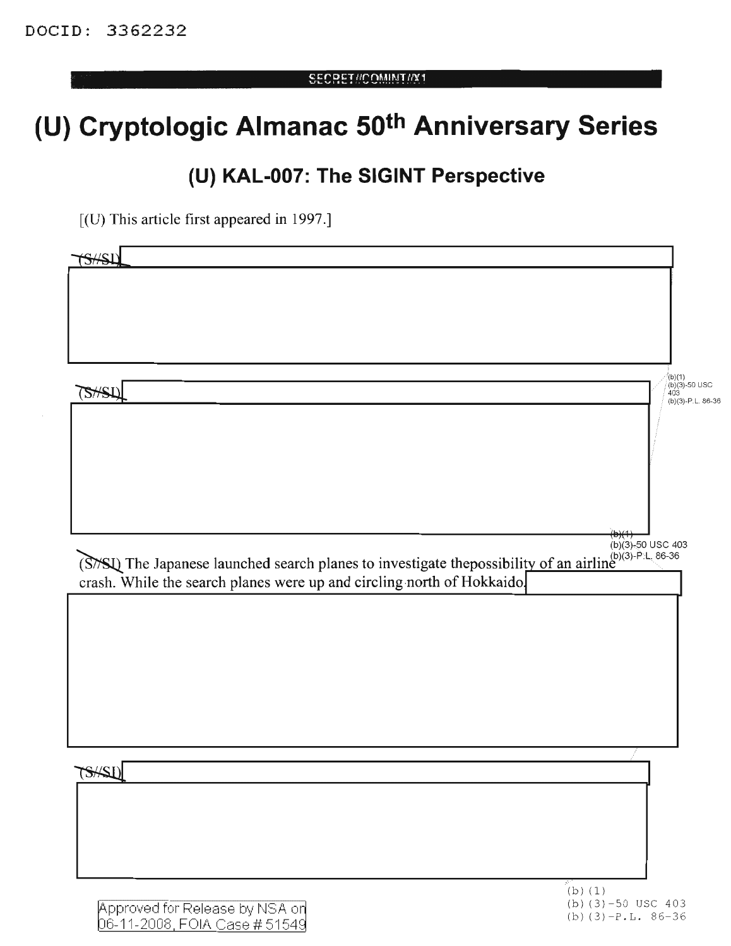## **(U) Cryptologic Almanac 50th Anniversary Series**

## **(U) KAL-007: The SIGINT Perspective**

[(D) This article first appeared in 1997.]

| S/H                                                                                                          |                                              |
|--------------------------------------------------------------------------------------------------------------|----------------------------------------------|
|                                                                                                              |                                              |
|                                                                                                              |                                              |
|                                                                                                              |                                              |
|                                                                                                              |                                              |
|                                                                                                              |                                              |
| <b>SHSLI</b>                                                                                                 | (b)(1)<br>(b)(3)-50 USC<br>403               |
|                                                                                                              | $(b)(3)-P.L.86-36$                           |
|                                                                                                              |                                              |
|                                                                                                              |                                              |
|                                                                                                              |                                              |
|                                                                                                              |                                              |
|                                                                                                              |                                              |
|                                                                                                              |                                              |
| (S/SI) The Japanese launched search planes to investigate the<br>possibility of an airline (6)(3)-P.L. 86-36 | $(b)(3) - 50$ USC 403                        |
| crash. While the search planes were up and circling north of Hokkaido.                                       |                                              |
|                                                                                                              |                                              |
|                                                                                                              |                                              |
|                                                                                                              |                                              |
|                                                                                                              |                                              |
|                                                                                                              |                                              |
|                                                                                                              |                                              |
|                                                                                                              |                                              |
|                                                                                                              |                                              |
| TSHSLI                                                                                                       |                                              |
|                                                                                                              |                                              |
|                                                                                                              |                                              |
|                                                                                                              |                                              |
|                                                                                                              |                                              |
|                                                                                                              |                                              |
|                                                                                                              | $(b)$ (1)                                    |
| Approved for Release by NSA on<br>06-11-2008, FOIA Case #51549                                               | (b) $(3)-50$ USC 403<br>(b) $(3)-P.L. 86-36$ |
|                                                                                                              |                                              |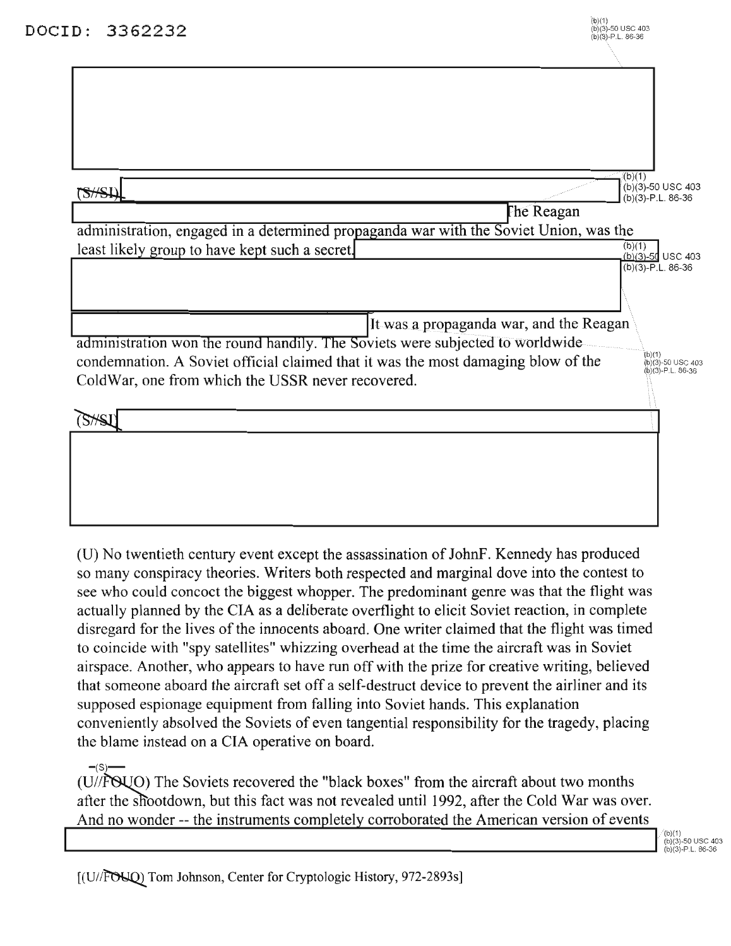| 3362232<br>D:                                                                         | (b)(1)<br>(b)(3)-50 USC 403<br>$(b)(3)-P.L.86-36$ |
|---------------------------------------------------------------------------------------|---------------------------------------------------|
|                                                                                       |                                                   |
|                                                                                       |                                                   |
|                                                                                       |                                                   |
|                                                                                       |                                                   |
|                                                                                       |                                                   |
|                                                                                       | (b)(1)                                            |
| SHSLI                                                                                 | (b)(3)-50 USC 403<br>$(b)(3)-P.L. 86-36$          |
| The Reagan                                                                            |                                                   |
| administration, engaged in a determined propaganda war with the Soviet Union, was the | (b)(1)                                            |
| least likely group to have kept such a secret.                                        | $(b)(3)-50$ USC 403                               |
|                                                                                       | $(b)(3)-P.L. 86-36$                               |
|                                                                                       |                                                   |
| It was a propaganda war, and the Reagan                                               |                                                   |
| administration won the round handily. The Soviets were subjected to worldwide         |                                                   |
| condemnation. A Soviet official claimed that it was the most damaging blow of the     | (b)(1)<br>(b)(3)-50 USC 403<br>(b)(3)-P.L. 86-36  |
| ColdWar, one from which the USSR never recovered.                                     |                                                   |
|                                                                                       |                                                   |
|                                                                                       |                                                   |
|                                                                                       |                                                   |
|                                                                                       |                                                   |
|                                                                                       |                                                   |
|                                                                                       |                                                   |

(U) No twentieth century event except the assassination of JohnF. Kennedy has produced so many conspiracy theories. Writers both respected and marginal dove into the contest to see who could concoct the biggest whopper. The predominant genre was that the flight was actually planned by the CIA as a deliberate overflight to elicit Soviet reaction, in complete disregard for the lives of the innocents aboard. One writer claimed that the flight was timed to coincide with "spy satellites" whizzing overhead at the time the aircraft was in Soviet airspace. Another, who appears to have run off with the prize for creative writing, believed that someone aboard the aircraft set off a self-destruct device to prevent the airliner and its supposed espionage equipment from falling into Soviet hands. This explanation conveniently absolved the Soviets of even tangential responsibility for the tragedy, placing the blame instead on a CIA operative on board.

 $-(S)$ -(U//FOUO) The Soviets recovered the "black boxes" from the aircraft about two months after the shootdown, but this fact was not revealed until 1992, after the Cold War was over. And no wonder -- the instruments completely corroborated the American version of events

(b)(1)<br>(b)(3)-50 USC 403  $(b)(3) - P L$ , 86-36